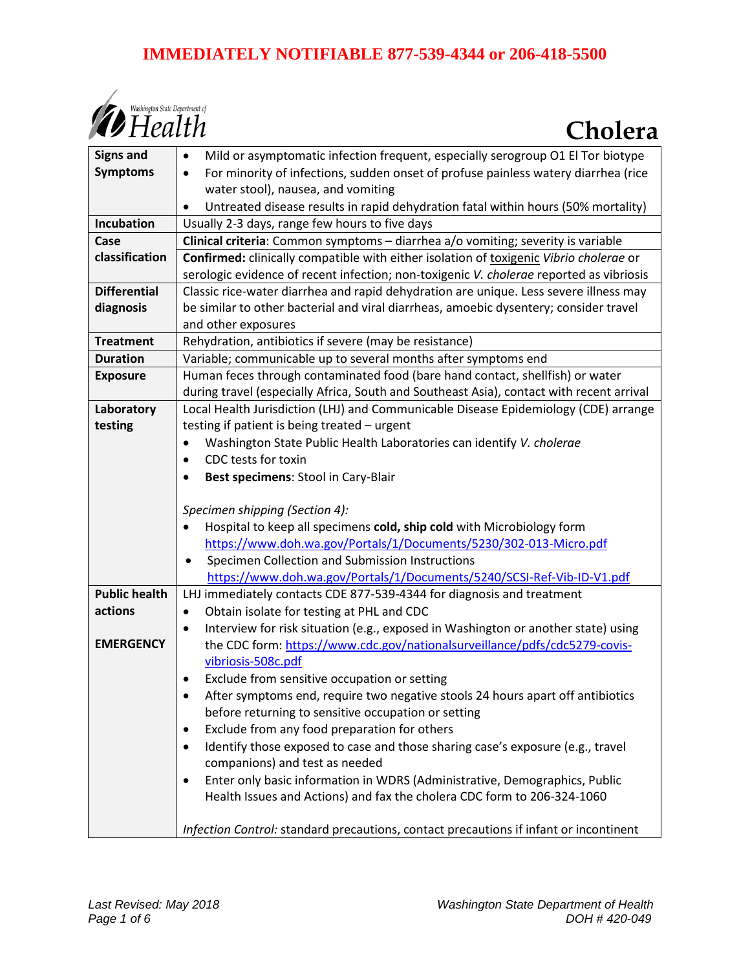# **IMMEDIATELY NOTIFIABLE 877-539-4344 or 206-418-5500**



| <b>Signs and</b>     | Mild or asymptomatic infection frequent, especially serogroup O1 El Tor biotype<br>$\bullet$                                               |
|----------------------|--------------------------------------------------------------------------------------------------------------------------------------------|
| <b>Symptoms</b>      | For minority of infections, sudden onset of profuse painless watery diarrhea (rice<br>$\bullet$                                            |
|                      | water stool), nausea, and vomiting                                                                                                         |
|                      | Untreated disease results in rapid dehydration fatal within hours (50% mortality)<br>$\bullet$                                             |
| Incubation           | Usually 2-3 days, range few hours to five days                                                                                             |
| Case                 | Clinical criteria: Common symptoms - diarrhea a/o vomiting; severity is variable                                                           |
| classification       | Confirmed: clinically compatible with either isolation of toxigenic Vibrio cholerae or                                                     |
|                      | serologic evidence of recent infection; non-toxigenic V. cholerae reported as vibriosis                                                    |
| <b>Differential</b>  | Classic rice-water diarrhea and rapid dehydration are unique. Less severe illness may                                                      |
| diagnosis            | be similar to other bacterial and viral diarrheas, amoebic dysentery; consider travel                                                      |
|                      | and other exposures                                                                                                                        |
| <b>Treatment</b>     | Rehydration, antibiotics if severe (may be resistance)                                                                                     |
| <b>Duration</b>      | Variable; communicable up to several months after symptoms end                                                                             |
| <b>Exposure</b>      | Human feces through contaminated food (bare hand contact, shellfish) or water                                                              |
|                      | during travel (especially Africa, South and Southeast Asia), contact with recent arrival                                                   |
| Laboratory           | Local Health Jurisdiction (LHJ) and Communicable Disease Epidemiology (CDE) arrange                                                        |
| testing              | testing if patient is being treated - urgent                                                                                               |
|                      | Washington State Public Health Laboratories can identify V. cholerae                                                                       |
|                      | CDC tests for toxin<br>$\bullet$                                                                                                           |
|                      | Best specimens: Stool in Cary-Blair                                                                                                        |
|                      |                                                                                                                                            |
|                      | Specimen shipping (Section 4):                                                                                                             |
|                      | Hospital to keep all specimens cold, ship cold with Microbiology form<br>https://www.doh.wa.gov/Portals/1/Documents/5230/302-013-Micro.pdf |
|                      | Specimen Collection and Submission Instructions<br>$\bullet$                                                                               |
|                      | https://www.doh.wa.gov/Portals/1/Documents/5240/SCSI-Ref-Vib-ID-V1.pdf                                                                     |
| <b>Public health</b> | LHJ immediately contacts CDE 877-539-4344 for diagnosis and treatment                                                                      |
| actions              | Obtain isolate for testing at PHL and CDC<br>$\bullet$                                                                                     |
|                      | Interview for risk situation (e.g., exposed in Washington or another state) using<br>$\bullet$                                             |
| <b>EMERGENCY</b>     | the CDC form: https://www.cdc.gov/nationalsurveillance/pdfs/cdc5279-covis-                                                                 |
|                      | vibriosis-508c.pdf                                                                                                                         |
|                      | Exclude from sensitive occupation or setting                                                                                               |
|                      | After symptoms end, require two negative stools 24 hours apart off antibiotics                                                             |
|                      | before returning to sensitive occupation or setting                                                                                        |
|                      | Exclude from any food preparation for others<br>$\bullet$                                                                                  |
|                      | Identify those exposed to case and those sharing case's exposure (e.g., travel<br>$\bullet$                                                |
|                      | companions) and test as needed                                                                                                             |
|                      | Enter only basic information in WDRS (Administrative, Demographics, Public<br>$\bullet$                                                    |
|                      | Health Issues and Actions) and fax the cholera CDC form to 206-324-1060                                                                    |
|                      |                                                                                                                                            |
|                      | Infection Control: standard precautions, contact precautions if infant or incontinent                                                      |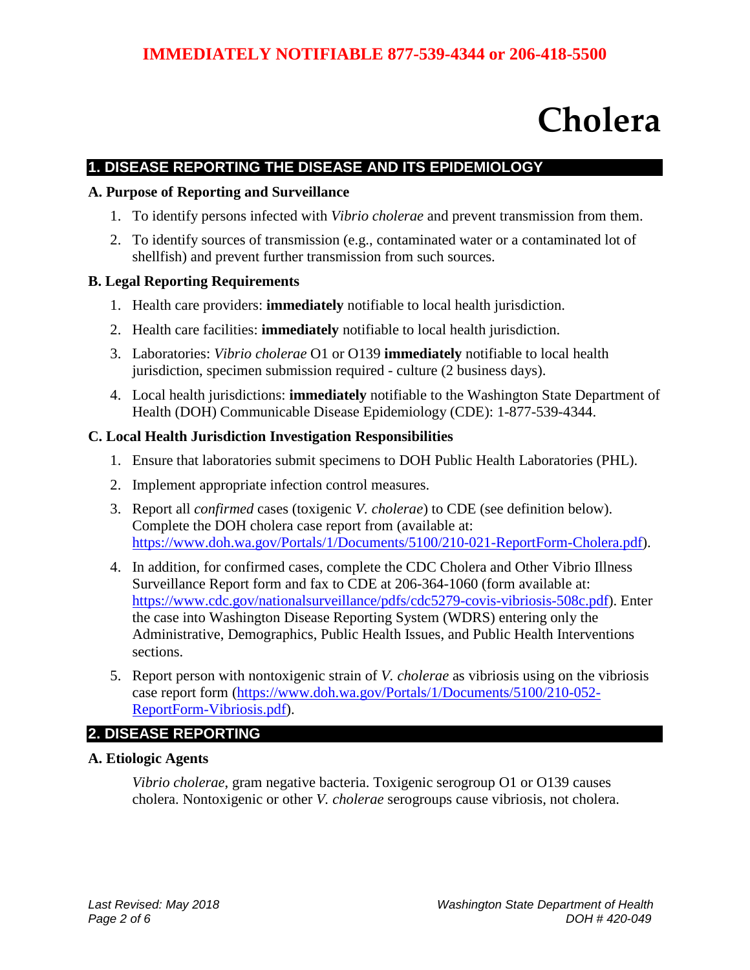# **Cholera**

## **1. DISEASE REPORTING THE DISEASE AND ITS EPIDEMIOLOGY**

#### **A. Purpose of Reporting and Surveillance**

- 1. To identify persons infected with *Vibrio cholerae* and prevent transmission from them.
- 2. To identify sources of transmission (e.g., contaminated water or a contaminated lot of shellfish) and prevent further transmission from such sources.

#### **B. Legal Reporting Requirements**

- 1. Health care providers: **immediately** notifiable to local health jurisdiction.
- 2. Health care facilities: **immediately** notifiable to local health jurisdiction.
- 3. Laboratories: *Vibrio cholerae* O1 or O139 **immediately** notifiable to local health jurisdiction, specimen submission required - culture (2 business days).
- 4. Local health jurisdictions: **immediately** notifiable to the Washington State Department of Health (DOH) Communicable Disease Epidemiology (CDE): 1-877-539-4344.

#### **C. Local Health Jurisdiction Investigation Responsibilities**

- 1. Ensure that laboratories submit specimens to DOH Public Health Laboratories (PHL).
- 2. Implement appropriate infection control measures.
- 3. Report all *confirmed* cases (toxigenic *V. cholerae*) to CDE (see definition below). Complete the DOH cholera case report from (available at: [https://www.doh.wa.gov/Portals/1/Documents/5100/210-021-ReportForm-Cholera.pdf\)](https://www.doh.wa.gov/Portals/1/Documents/5100/210-021-ReportForm-Cholera.pdf).
- 4. In addition, for confirmed cases, complete the CDC Cholera and Other Vibrio Illness Surveillance Report form and fax to CDE at 206-364-1060 (form available at: [https://www.cdc.gov/nationalsurveillance/pdfs/cdc5279-covis-vibriosis-508c.pdf\)](https://www.cdc.gov/nationalsurveillance/pdfs/cdc5279-covis-vibriosis-508c.pdf). Enter the case into Washington Disease Reporting System (WDRS) entering only the Administrative, Demographics, Public Health Issues, and Public Health Interventions sections.
- 5. Report person with nontoxigenic strain of *V. cholerae* as vibriosis using on the vibriosis case report form [\(https://www.doh.wa.gov/Portals/1/Documents/5100/210-052-](https://www.doh.wa.gov/Portals/1/Documents/5100/210-052-ReportForm-Vibriosis.pdf) [ReportForm-Vibriosis.pdf\)](https://www.doh.wa.gov/Portals/1/Documents/5100/210-052-ReportForm-Vibriosis.pdf).

#### **2. DISEASE REPORTING**

#### **A. Etiologic Agents**

*Vibrio cholerae*, gram negative bacteria. Toxigenic serogroup O1 or O139 causes cholera. Nontoxigenic or other *V. cholerae* serogroups cause vibriosis, not cholera.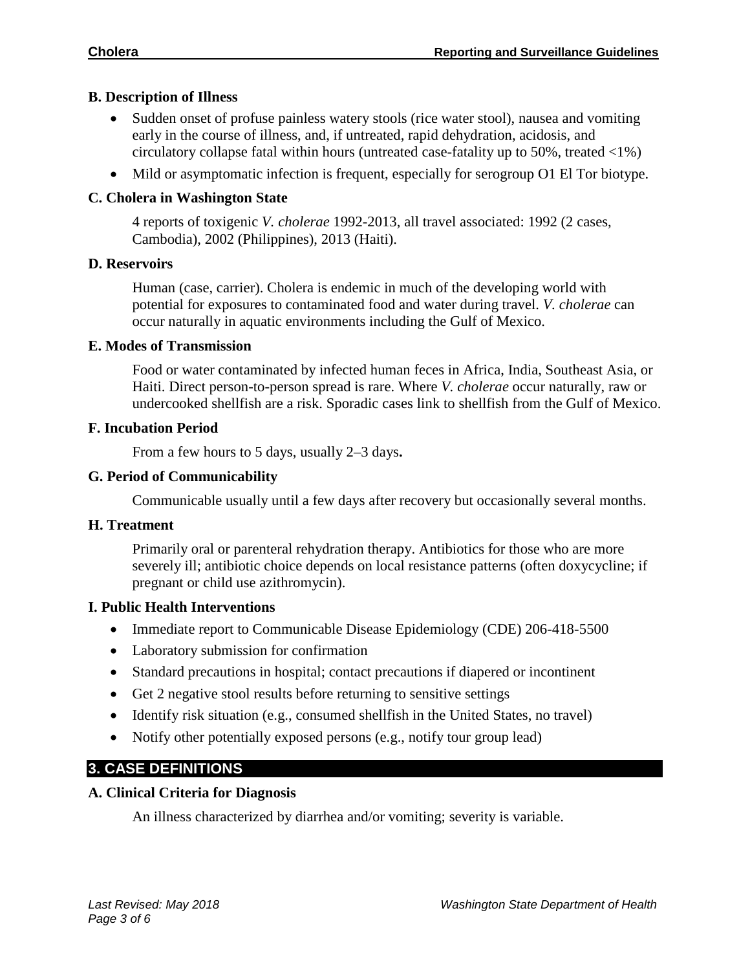#### **B. Description of Illness**

- Sudden onset of profuse painless watery stools (rice water stool), nausea and vomiting early in the course of illness, and, if untreated, rapid dehydration, acidosis, and circulatory collapse fatal within hours (untreated case-fatality up to 50%, treated <1%)
- Mild or asymptomatic infection is frequent, especially for serogroup O1 El Tor biotype.

## **C. Cholera in Washington State**

4 reports of toxigenic *V. cholerae* 1992-2013, all travel associated: 1992 (2 cases, Cambodia), 2002 (Philippines), 2013 (Haiti).

#### **D. Reservoirs**

Human (case, carrier). Cholera is endemic in much of the developing world with potential for exposures to contaminated food and water during travel. *V. cholerae* can occur naturally in aquatic environments including the Gulf of Mexico.

#### **E. Modes of Transmission**

Food or water contaminated by infected human feces in Africa, India, Southeast Asia, or Haiti. Direct person-to-person spread is rare. Where *V. cholerae* occur naturally, raw or undercooked shellfish are a risk. Sporadic cases link to shellfish from the Gulf of Mexico.

## **F. Incubation Period**

From a few hours to 5 days, usually 2–3 days**.**

## **G. Period of Communicability**

Communicable usually until a few days after recovery but occasionally several months.

#### **H. Treatment**

Primarily oral or parenteral rehydration therapy. Antibiotics for those who are more severely ill; antibiotic choice depends on local resistance patterns (often doxycycline; if pregnant or child use azithromycin).

#### **I. Public Health Interventions**

- Immediate report to Communicable Disease Epidemiology (CDE) 206-418-5500
- Laboratory submission for confirmation
- Standard precautions in hospital; contact precautions if diapered or incontinent
- Get 2 negative stool results before returning to sensitive settings
- Identify risk situation (e.g., consumed shellfish in the United States, no travel)
- Notify other potentially exposed persons (e.g., notify tour group lead)

# **3. CASE DEFINITIONS**

#### **A. Clinical Criteria for Diagnosis**

An illness characterized by diarrhea and/or vomiting; severity is variable.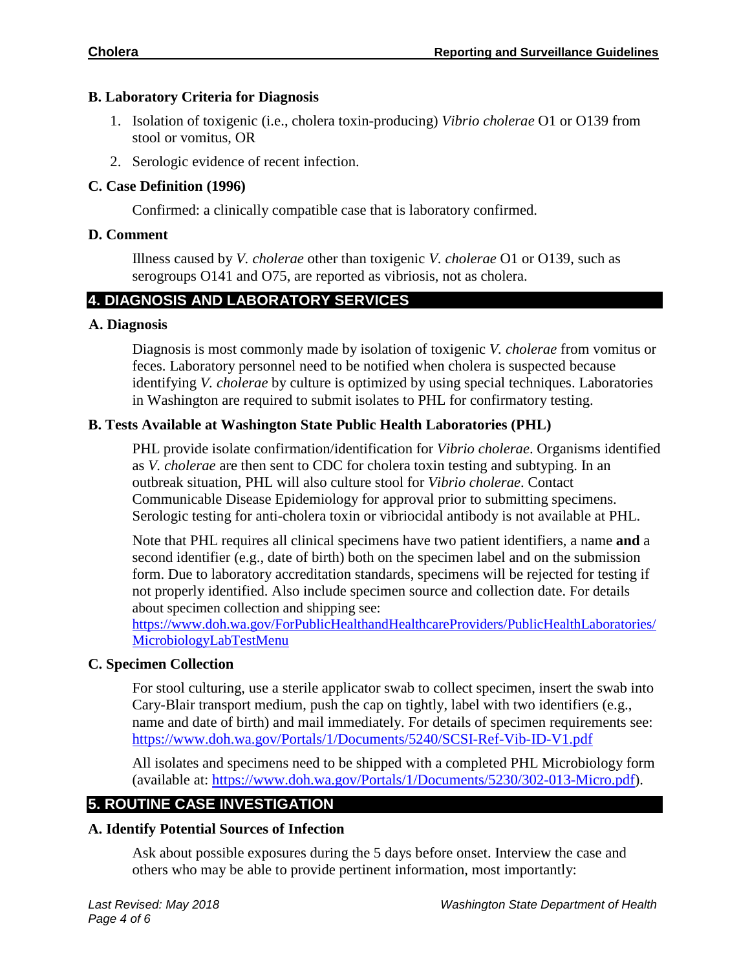## **B. Laboratory Criteria for Diagnosis**

- 1. Isolation of toxigenic (i.e., cholera toxin-producing) *Vibrio cholerae* O1 or O139 from stool or vomitus, OR
- 2. Serologic evidence of recent infection.

# **C. Case Definition (1996)**

Confirmed: a clinically compatible case that is laboratory confirmed.

## **D. Comment**

Illness caused by *V. cholerae* other than toxigenic *V. cholerae* O1 or O139, such as serogroups O141 and O75, are reported as vibriosis, not as cholera.

# **4. DIAGNOSIS AND LABORATORY SERVICES**

#### **A. Diagnosis**

Diagnosis is most commonly made by isolation of toxigenic *V. cholerae* from vomitus or feces. Laboratory personnel need to be notified when cholera is suspected because identifying *V. cholerae* by culture is optimized by using special techniques. Laboratories in Washington are required to submit isolates to PHL for confirmatory testing.

## **B. Tests Available at Washington State Public Health Laboratories (PHL)**

PHL provide isolate confirmation/identification for *Vibrio cholerae*. Organisms identified as *V. cholerae* are then sent to CDC for cholera toxin testing and subtyping. In an outbreak situation, PHL will also culture stool for *Vibrio cholerae*. Contact Communicable Disease Epidemiology for approval prior to submitting specimens. Serologic testing for anti-cholera toxin or vibriocidal antibody is not available at PHL.

Note that PHL requires all clinical specimens have two patient identifiers, a name **and** a second identifier (e.g., date of birth) both on the specimen label and on the submission form. Due to laboratory accreditation standards, specimens will be rejected for testing if not properly identified. Also include specimen source and collection date. For details about specimen collection and shipping see:

[https://www.doh.wa.gov/ForPublicHealthandHealthcareProviders/PublicHealthLaboratories/](https://www.doh.wa.gov/ForPublicHealthandHealthcareProviders/PublicHealthLaboratories/MicrobiologyLabTestMenu) [MicrobiologyLabTestMenu](https://www.doh.wa.gov/ForPublicHealthandHealthcareProviders/PublicHealthLaboratories/MicrobiologyLabTestMenu)

#### **C. Specimen Collection**

For stool culturing, use a sterile applicator swab to collect specimen, insert the swab into Cary-Blair transport medium, push the cap on tightly, label with two identifiers (e.g., name and date of birth) and mail immediately. For details of specimen requirements see: <https://www.doh.wa.gov/Portals/1/Documents/5240/SCSI-Ref-Vib-ID-V1.pdf>

All isolates and specimens need to be shipped with a completed PHL Microbiology form (available at: [https://www.doh.wa.gov/Portals/1/Documents/5230/302-013-Micro.pdf\)](https://www.doh.wa.gov/Portals/1/Documents/5230/302-013-Micro.pdf).

# **5. ROUTINE CASE INVESTIGATION**

#### **A. Identify Potential Sources of Infection**

Ask about possible exposures during the 5 days before onset. Interview the case and others who may be able to provide pertinent information, most importantly: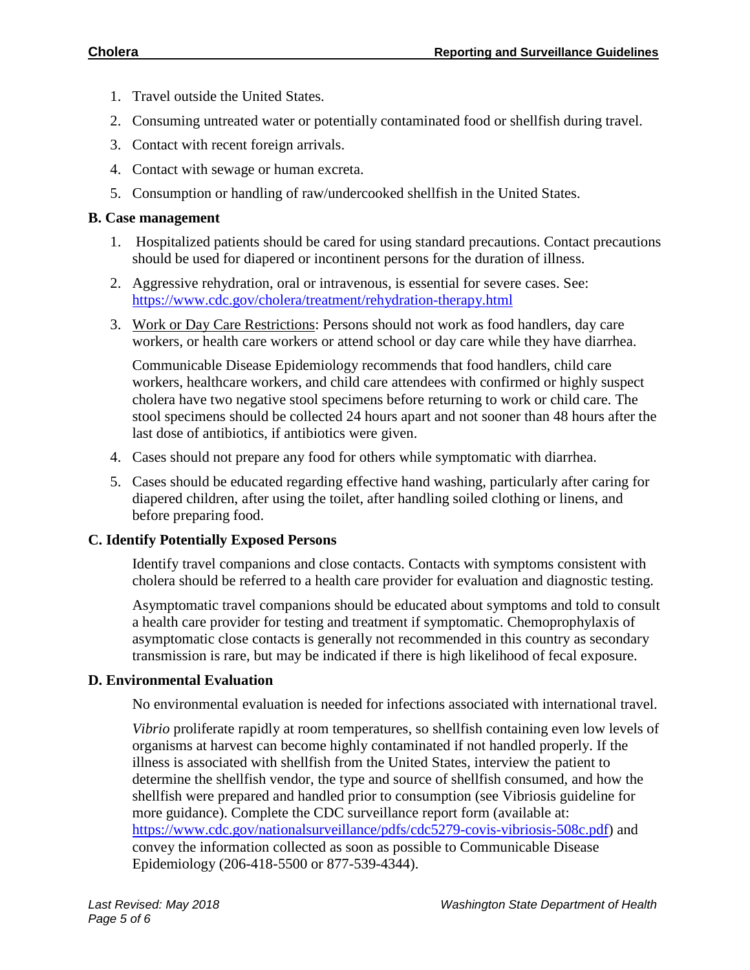- 1. Travel outside the United States.
- 2. Consuming untreated water or potentially contaminated food or shellfish during travel.
- 3. Contact with recent foreign arrivals.
- 4. Contact with sewage or human excreta.
- 5. Consumption or handling of raw/undercooked shellfish in the United States.

# **B. Case management**

- 1. Hospitalized patients should be cared for using standard precautions. Contact precautions should be used for diapered or incontinent persons for the duration of illness.
- 2. Aggressive rehydration, oral or intravenous, is essential for severe cases. See: <https://www.cdc.gov/cholera/treatment/rehydration-therapy.html>
- 3. Work or Day Care Restrictions: Persons should not work as food handlers, day care workers, or health care workers or attend school or day care while they have diarrhea.

Communicable Disease Epidemiology recommends that food handlers, child care workers, healthcare workers, and child care attendees with confirmed or highly suspect cholera have two negative stool specimens before returning to work or child care. The stool specimens should be collected 24 hours apart and not sooner than 48 hours after the last dose of antibiotics, if antibiotics were given.

- 4. Cases should not prepare any food for others while symptomatic with diarrhea.
- 5. Cases should be educated regarding effective hand washing, particularly after caring for diapered children, after using the toilet, after handling soiled clothing or linens, and before preparing food.

# **C. Identify Potentially Exposed Persons**

Identify travel companions and close contacts. Contacts with symptoms consistent with cholera should be referred to a health care provider for evaluation and diagnostic testing.

Asymptomatic travel companions should be educated about symptoms and told to consult a health care provider for testing and treatment if symptomatic. Chemoprophylaxis of asymptomatic close contacts is generally not recommended in this country as secondary transmission is rare, but may be indicated if there is high likelihood of fecal exposure.

# **D. Environmental Evaluation**

No environmental evaluation is needed for infections associated with international travel.

*Vibrio* proliferate rapidly at room temperatures, so shellfish containing even low levels of organisms at harvest can become highly contaminated if not handled properly. If the illness is associated with shellfish from the United States, interview the patient to determine the shellfish vendor, the type and source of shellfish consumed, and how the shellfish were prepared and handled prior to consumption (see Vibriosis guideline for more guidance). Complete the CDC surveillance report form (available at: [https://www.cdc.gov/nationalsurveillance/pdfs/cdc5279-covis-vibriosis-508c.pdf\)](https://www.cdc.gov/nationalsurveillance/pdfs/cdc5279-covis-vibriosis-508c.pdf) and convey the information collected as soon as possible to Communicable Disease Epidemiology (206-418-5500 or 877-539-4344).